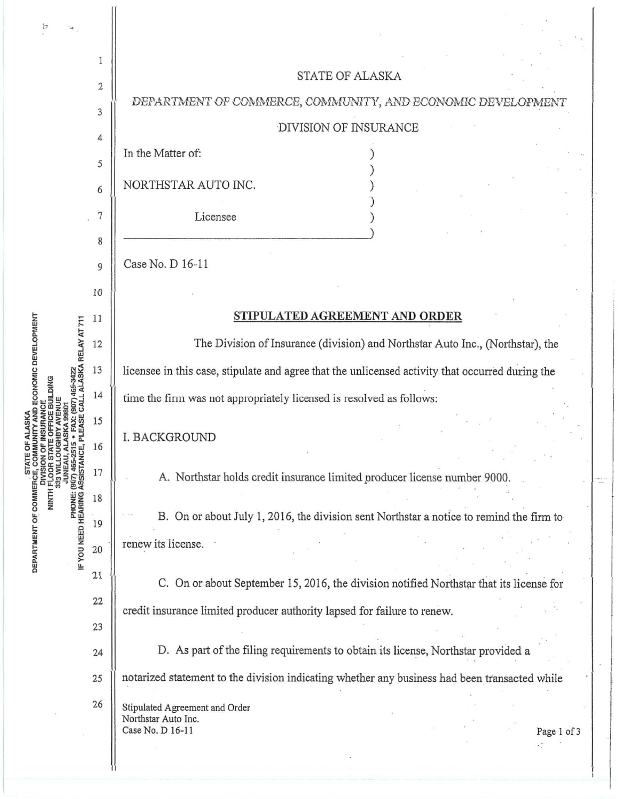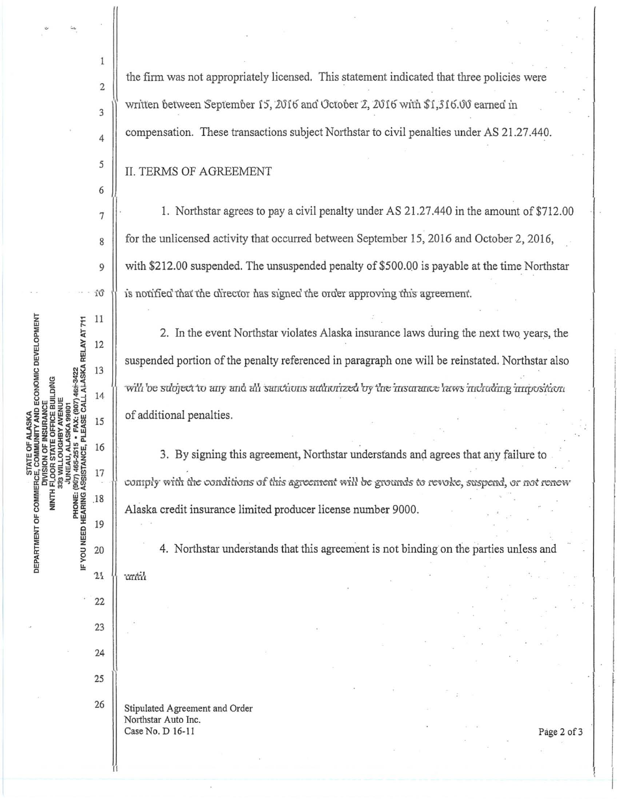Ú **DEPARTMENT OF COMMERCE, COMMUNITY AND ECONOMIC DEVELOPMENT**<br>DEPARTMENT OF COMMUNITY AND ECONOMIC DEVELOPMENT<br>NINTH FUNSION OF INSURANCE<br>NINTH 233 WILLOUGHBY AVENUE 11 + FAX: (907) 469-3422<br>PLEASE CALL ALASKA RELAY AT 711 12 13 14 JUNEAU, ALASKA 99801 15 PHONE: (907) 465-2515<br>IF YOU NEED HEARING ASSISTANCE, F 16 17 .18 19 20  $21$ 22 23 24 25 26

the firm was not appropriately licensed. This statement indicated that three policies were written between September 15, 2016 and October 2, 2016 with \$1,316.00 earned in compensation. These transactions subject Northstar to civil penalties under AS 21.27.440.

**II. TERMS OF AGREEMENT** 

 $\mathbf{1}$ 

 $\overline{c}$ 

3

4

5

6

 $\overline{7}$ 

8

 $\mathsf{Q}$ 

1. Northstar agrees to pay a civil penalty under AS 21.27.440 in the amount of \$712.00 for the unlicensed activity that occurred between September 15, 2016 and October 2, 2016, with \$212.00 suspended. The unsuspended penalty of \$500.00 is payable at the time Northstar is notified that the director has signed the order approving this agreement.

2. In the event Northstar violates Alaska insurance laws during the next two years, the suspended portion of the penalty referenced in paragraph one will be reinstated. Northstar also will be subject to any and all sanctions authorized by the msurance laws including imposition of additional penalties.

3. By signing this agreement, Northstar understands and agrees that any failure to comply with the conditions of this agreement will be grounds to revoke, suspend, or not renew Alaska credit insurance limited producer license number 9000.

4. Northstar understands that this agreement is not binding on the parties unless and ratih

Stipulated Agreement and Order Northstar Auto Inc. Case No. D 16-11

Page 2 of 3